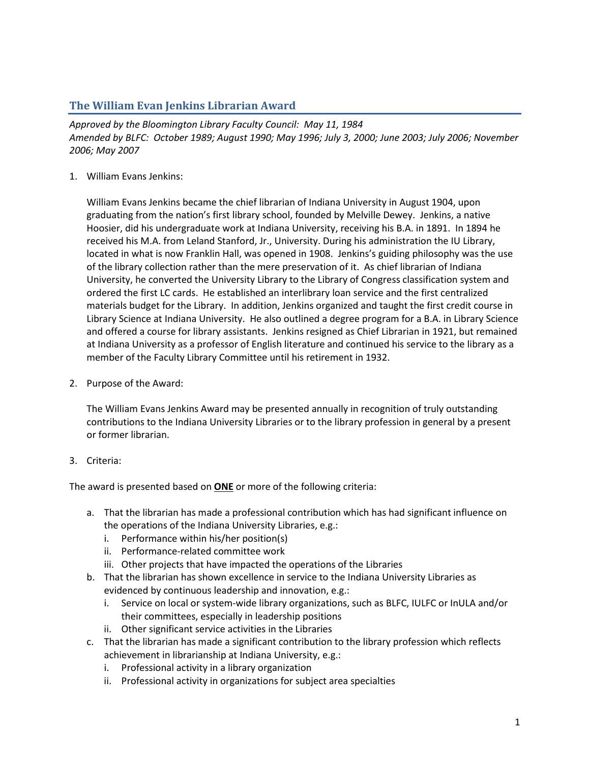## **The William Evan Jenkins Librarian Award**

*Approved by the Bloomington Library Faculty Council: May 11, 1984 Amended by BLFC: October 1989; August 1990; May 1996; July 3, 2000; June 2003; July 2006; November 2006; May 2007*

## 1. William Evans Jenkins:

William Evans Jenkins became the chief librarian of Indiana University in August 1904, upon graduating from the nation's first library school, founded by Melville Dewey. Jenkins, a native Hoosier, did his undergraduate work at Indiana University, receiving his B.A. in 1891. In 1894 he received his M.A. from Leland Stanford, Jr., University. During his administration the IU Library, located in what is now Franklin Hall, was opened in 1908. Jenkins's guiding philosophy was the use of the library collection rather than the mere preservation of it. As chief librarian of Indiana University, he converted the University Library to the Library of Congress classification system and ordered the first LC cards. He established an interlibrary loan service and the first centralized materials budget for the Library. In addition, Jenkins organized and taught the first credit course in Library Science at Indiana University. He also outlined a degree program for a B.A. in Library Science and offered a course for library assistants. Jenkins resigned as Chief Librarian in 1921, but remained at Indiana University as a professor of English literature and continued his service to the library as a member of the Faculty Library Committee until his retirement in 1932.

2. Purpose of the Award:

The William Evans Jenkins Award may be presented annually in recognition of truly outstanding contributions to the Indiana University Libraries or to the library profession in general by a present or former librarian.

3. Criteria:

The award is presented based on **ONE** or more of the following criteria:

- a. That the librarian has made a professional contribution which has had significant influence on the operations of the Indiana University Libraries, e.g.:
	- i. Performance within his/her position(s)
	- ii. Performance-related committee work
	- iii. Other projects that have impacted the operations of the Libraries
- b. That the librarian has shown excellence in service to the Indiana University Libraries as evidenced by continuous leadership and innovation, e.g.:
	- i. Service on local or system-wide library organizations, such as BLFC, IULFC or InULA and/or their committees, especially in leadership positions
	- ii. Other significant service activities in the Libraries
- c. That the librarian has made a significant contribution to the library profession which reflects achievement in librarianship at Indiana University, e.g.:
	- i. Professional activity in a library organization
	- ii. Professional activity in organizations for subject area specialties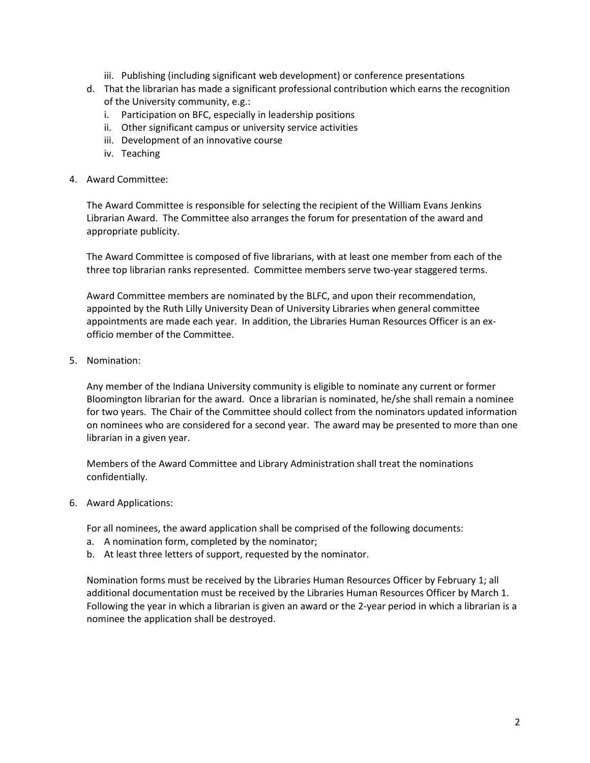- iii. Publishing (including significant web development) or conference presentations
- d. That the librarian has made a significant professional contribution which earns the recognition of the University community, e.g.:
	- i. Participation on BFC, especially in leadership positions
	- ii. Other significant campus or university service activities
	- iii. Development of an innovative course
	- iv. Teaching
- 4. Award Committee:

The Award Committee is responsible for selecting the recipient of the William Evans Jenkins Librarian Award. The Committee also arranges the forum for presentation of the award and appropriate publicity.

The Award Committee is composed of five librarians, with at least one member from each of the three top librarian ranks represented. Committee members serve two-year staggered terms.

Award Committee members are nominated by the BLFC, and upon their recommendation, appointed by the Ruth Lilly University Dean of University Libraries when general committee appointments are made each year. In addition, the Libraries Human Resources Officer is an exofficio member of the Committee.

5. Nomination:

Any member of the Indiana University community is eligible to nominate any current or former Bloomington librarian for the award. Once a librarian is nominated, he/she shall remain a nominee for two years. The Chair of the Committee should collect from the nominators updated information on nominees who are considered for a second year. The award may be presented to more than one librarian in a given year.

Members of the Award Committee and Library Administration shall treat the nominations confidentially.

6. Award Applications:

For all nominees, the award application shall be comprised of the following documents:

- a. A nomination form, completed by the nominator;
- b. At least three letters of support, requested by the nominator.

Nomination forms must be received by the Libraries Human Resources Officer by February 1; all additional documentation must be received by the Libraries Human Resources Officer by March 1. Following the year in which a librarian is given an award or the 2-year period in which a librarian is a nominee the application shall be destroyed.